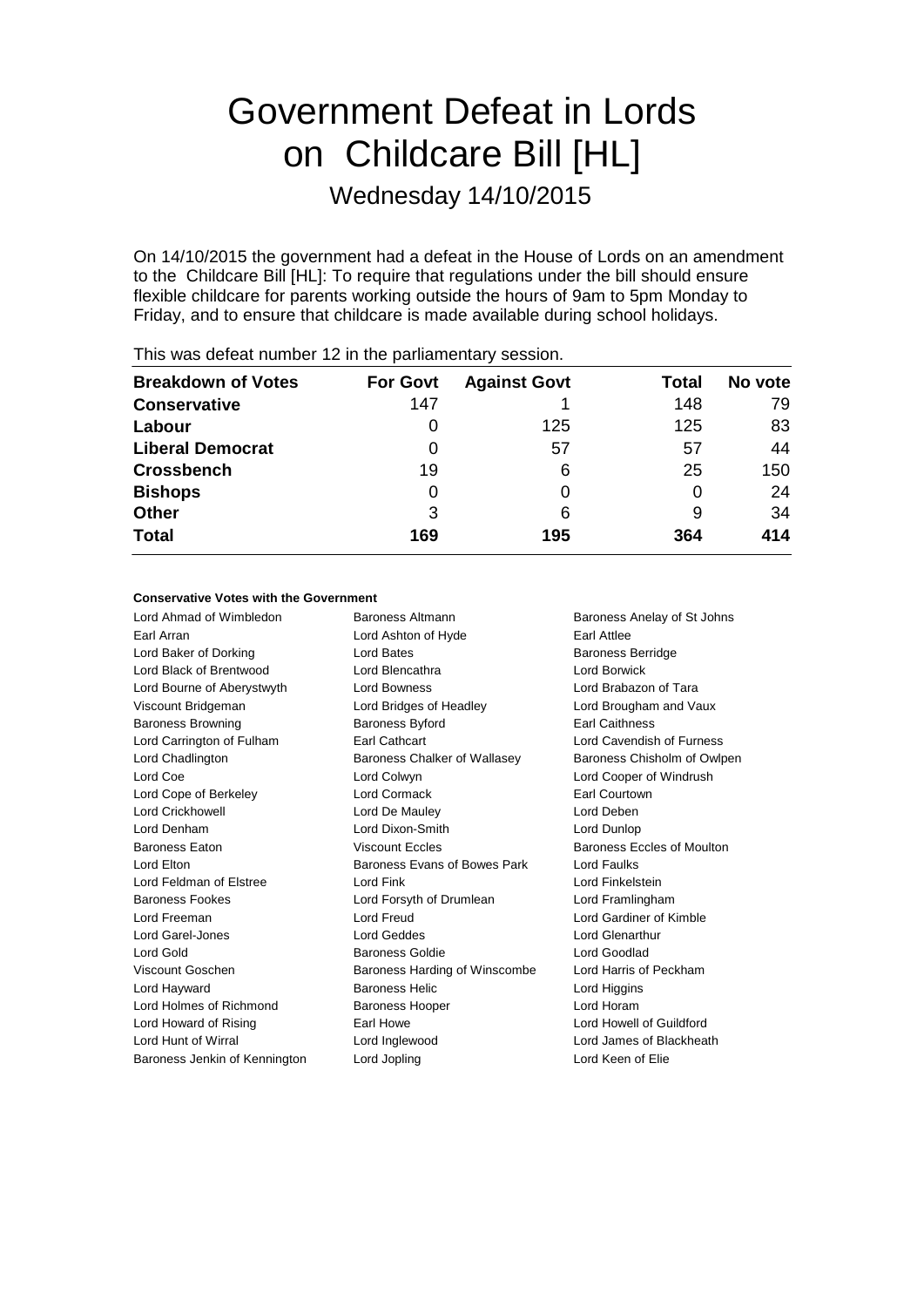# Government Defeat in Lords on Childcare Bill [HL]

Wednesday 14/10/2015

On 14/10/2015 the government had a defeat in the House of Lords on an amendment to the Childcare Bill [HL]: To require that regulations under the bill should ensure flexible childcare for parents working outside the hours of 9am to 5pm Monday to Friday, and to ensure that childcare is made available during school holidays.

| <b>Breakdown of Votes</b> | <b>For Govt</b> | <b>Against Govt</b> | Total | No vote |
|---------------------------|-----------------|---------------------|-------|---------|
| <b>Conservative</b>       | 147             |                     | 148   | 79      |
| Labour                    | 0               | 125                 | 125   | 83      |
| <b>Liberal Democrat</b>   | 0               | 57                  | 57    | 44      |
| <b>Crossbench</b>         | 19              | 6                   | 25    | 150     |
| <b>Bishops</b>            | 0               |                     | 0     | 24      |
| <b>Other</b>              | 3               | 6                   | 9     | 34      |
| <b>Total</b>              | 169             | 195                 | 364   | 414     |

This was defeat number 12 in the parliamentary session.

#### **Conservative Votes with the Government**

Lord Ahmad of Wimbledon **Baroness Altmann** Baroness Anelay of St Johns Earl Arran **Earl Attice** Lord Ashton of Hyde **Earl Attice** Lord Baker of Dorking **Lord Bates** Lord Bates **Baroness Berridge** Lord Black of Brentwood Lord Blencathra Lord Borwick Lord Bourne of Aberystwyth Lord Bowness Lord Brabazon of Tara Viscount Bridgeman Lord Bridges of Headley Lord Brougham and Vaux Baroness Browning **Baroness Byford** Earl Caithness Lord Carrington of Fulham Earl Cathcart Lord Cavendish of Furness Lord Chadlington Baroness Chalker of Wallasey Baroness Chisholm of Owlpen Lord Coe Lord Colwyn Lord Cooper of Windrush Lord Cope of Berkeley Lord Cormack Earl Courtown Lord Crickhowell Lord De Mauley Lord Deben Lord Denham Lord Dixon-Smith Lord Dunlop Baroness Eaton **Baroness Exclusive Baroness Eccles** Baroness Eccles of Moulton Lord Elton **Baroness Evans of Bowes Park** Lord Faulks Lord Feldman of Elstree Lord Fink Lord Finkelstein Baroness Fookes Lord Forsyth of Drumlean Lord Framlingham Lord Freeman Lord Freud Lord Gardiner of Kimble Lord Garel-Jones Lord Geddes Lord Glenarthur Lord Gold **Baroness Goldie Community** Baroness Goldie **Lord Goodlad** Viscount Goschen Baroness Harding of Winscombe Lord Harris of Peckham Lord Hayward **Baroness Helic** Lord Higgins Lord Higgins Lord Holmes of Richmond Baroness Hooper **Lord Horam** Lord Howard of Rising **Earl Howe Lord Howell of Guildford** Earl Howe **Lord Howell of Guildford** Lord Hunt of Wirral Lord Inglewood Lord James of Blackheath

Baroness Jenkin of Kennington Lord Jopling Lord Keen of Elie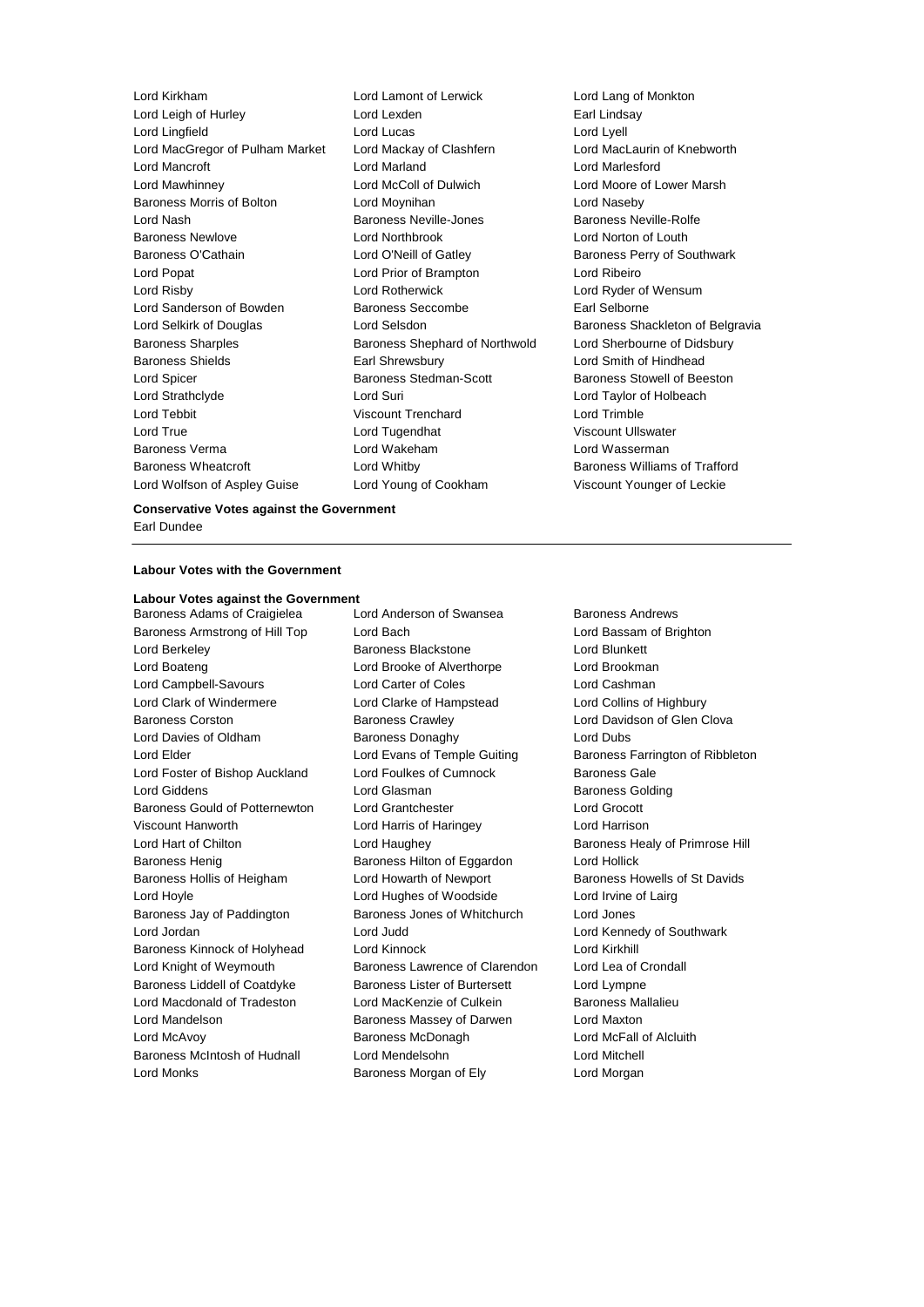Lord Kirkham Lord Lamont of Lerwick Lord Lang of Monkton Lord Leigh of Hurley **Lord Lexden** Earl Lindsay Lord Lingfield Lord Lucas Lord Lyell Lord MacGregor of Pulham Market Lord Mackay of Clashfern Lord Mancroft Lord Marland Lord Marlesford Lord Mawhinney Lord McColl of Dulwich Lord Moore of Lower Marsh Baroness Morris of Bolton Lord Moynihan Lord Naseby Lord Nash **Baroness Neville-Jones** Baroness Neville-Rolfe Baroness Newlove Lord Northbrook Lord Norton of Louth Baroness O'Cathain **Lord O'Neill of Gatley** Baroness Perry of Southwark Lord Popat Lord Prior of Brampton Lord Ribeiro Lord Risby Lord Rotherwick Lord Ryder of Wensum Lord Sanderson of Bowden Baroness Seccombe Earl Selborne Lord Selkirk of Douglas **Lord Selsdon** Baroness Shackleton of Belgravia Baroness Sharples Baroness Shephard of Northwold Lord Sherbourne of Didsbury Baroness Shields **Earl Shrewsbury** Earl Shrewsbury **Earl Shrewsbury** Earl Shrewsbury **Earl Shrewsbury** Earl Box 2014 Lord Spicer Baroness Stedman-Scott Baroness Stowell of Beeston Lord Strathclyde Lord Suri Lord Taylor of Holbeach Lord Tebbit Viscount Trenchard Lord Trimble Lord True Lord Tugendhat Viscount Ullswater Baroness Verma Lord Wakeham Lord Wasserman Baroness Wheatcroft **Lord Whitby Baroness Williams of Trafford** Lord Wolfson of Aspley Guise Lord Young of Cookham Viscount Younger of Leckie

#### **Conservative Votes against the Government** Earl Dundee

#### **Labour Votes with the Government**

## **Labour Votes against the Government**

Baroness Armstrong of Hill Top Lord Bach Lord Bassam of Brighton Lord Berkeley Baroness Blackstone Lord Blunkett Lord Boateng Lord Brooke of Alverthorpe Lord Brookman Lord Campbell-Savours Lord Carter of Coles Lord Cashman Lord Clark of Windermere Lord Clarke of Hampstead Lord Collins of Highbury Baroness Corston **Baroness Crawley Baroness Crawley** Lord Davidson of Glen Clova Lord Davies of Oldham Baroness Donaghy Lord Dubs Lord Elder **Lord Evans of Temple Guiting Baroness Farrington of Ribbleton** Lord Foster of Bishop Auckland Lord Foulkes of Cumnock Baroness Gale Lord Giddens **Lord Glasman** Baroness Golding Baroness Gould of Potternewton Lord Grantchester Lord Grocott Viscount Hanworth Lord Harris of Haringey Lord Harrison Lord Hart of Chilton Lord Haughey Baroness Healy of Primrose Hill Baroness Henig Baroness Hilton of Eggardon Lord Hollick Baroness Hollis of Heigham Lord Howarth of Newport Baroness Howells of St Davids Lord Hoyle Lord Hughes of Woodside Lord Irvine of Lairg Baroness Jay of Paddington Baroness Jones of Whitchurch Lord Jones Lord Jordan Lord Judd Lord Kennedy of Southwark Baroness Kinnock of Holyhead Lord Kinnock Lord Kirkhill Lord Knight of Weymouth Baroness Lawrence of Clarendon Lord Lea of Crondall Baroness Liddell of Coatdyke Baroness Lister of Burtersett Lord Lympne Lord Macdonald of Tradeston Lord MacKenzie of Culkein Baroness Mallalieu Lord Mandelson Baroness Massey of Darwen Lord Maxton Lord McAvoy Baroness McDonagh Lord McFall of Alcluith Baroness McIntosh of Hudnall Lord Mendelsohn Lord Mitchell

Baroness Adams of Craigielea Lord Anderson of Swansea Baroness Andrews Lord Monks Baroness Morgan of Ely Lord Morgan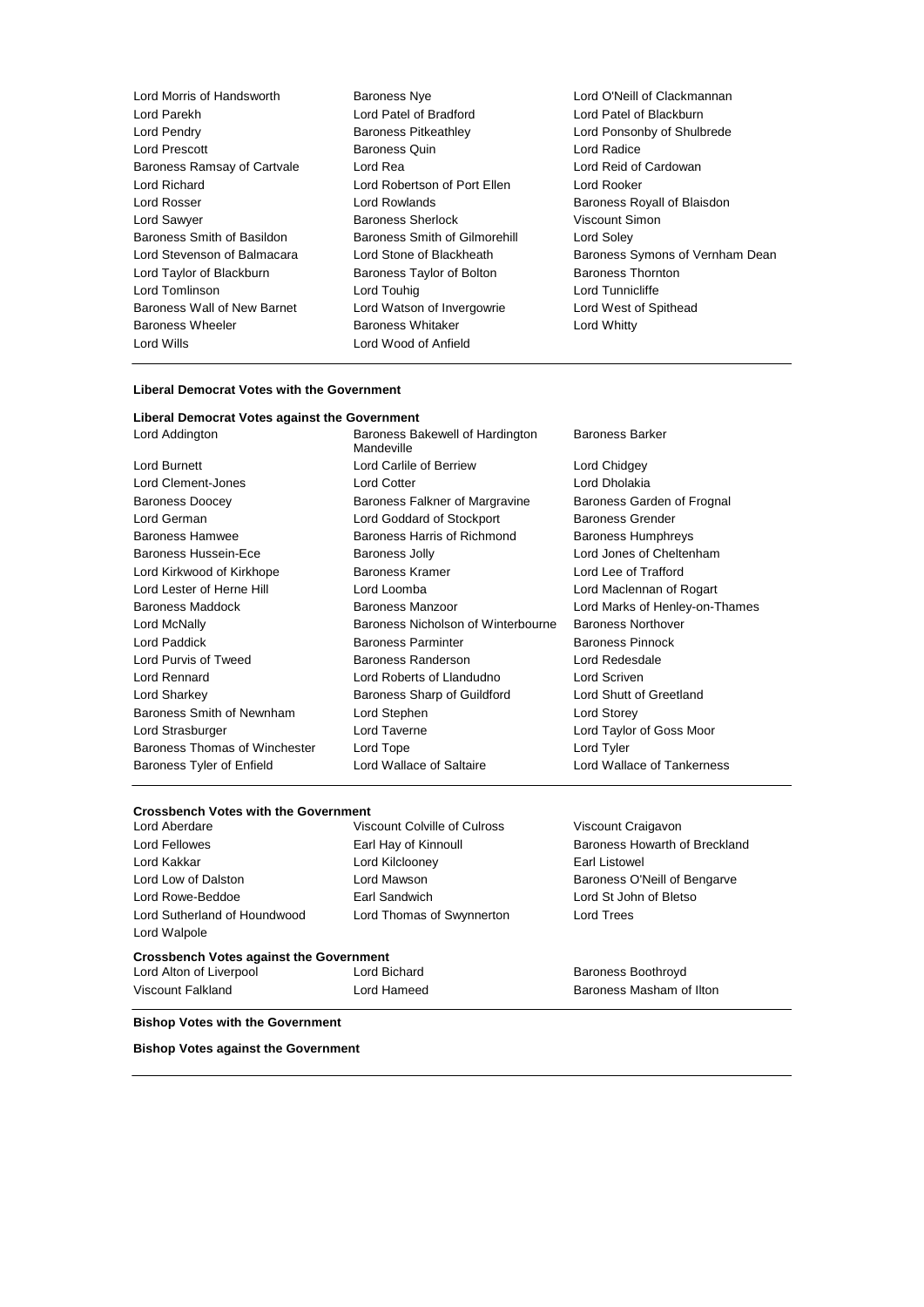- Lord Morris of Handsworth **Baroness Nye Baroness Nye Lord O'Neill of Clackmannan** Lord Parekh Lord Patel of Bradford Lord Patel of Blackburn Lord Pendry Baroness Pitkeathley Lord Ponsonby of Shulbrede Baroness Ramsay of Cartvale Lord Richard Lord Robertson of Port Ellen Lord Rooker Lord Rosser **Lord Rowlands Baroness Royall of Blaisdon** Lord Sawyer **Baroness Sherlock** Viscount Simon Baroness Smith of Basildon Baroness Smith of Gilmorehill Lord Soley Lord Taylor of Blackburn **Baroness Taylor of Bolton** Baroness Thornton Lord Tomlinson and Lord Touhig Lord Tunnicliffe Baroness Wall of New Barnet Lord Watson of Invergowrie Lord West of Spithead Baroness Wheeler **Baroness Whitaker** Lord Whitty Lord Wills Lord Wood of Anfield
	- Examples and Baroness Quin and Lord Radice<br>
	Examples a Lord Reid of Cardowan<br>
	Lord Reid of Cardowan
- Lord Stevenson of Balmacara Lord Stone of Blackheath Baroness Symons of Vernham Dean

#### **Liberal Democrat Votes with the Government**

#### **Liberal Democrat Votes against the Government**

| Lord Addington                | Baroness Bakewell of Hardington<br>Mandeville | <b>Baroness Barker</b>         |  |
|-------------------------------|-----------------------------------------------|--------------------------------|--|
| Lord Burnett                  | Lord Carlile of Berriew                       | Lord Chidgey                   |  |
| Lord Clement-Jones            | <b>Lord Cotter</b>                            | Lord Dholakia                  |  |
| <b>Baroness Doocey</b>        | Baroness Falkner of Margravine                | Baroness Garden of Frognal     |  |
| Lord German                   | Lord Goddard of Stockport                     | <b>Baroness Grender</b>        |  |
| <b>Baroness Hamwee</b>        | Baroness Harris of Richmond                   | <b>Baroness Humphreys</b>      |  |
| Baroness Hussein-Ece          | <b>Baroness Jolly</b>                         | Lord Jones of Cheltenham       |  |
| Lord Kirkwood of Kirkhope     | Baroness Kramer                               | Lord Lee of Trafford           |  |
| Lord Lester of Herne Hill     | Lord Loomba                                   | Lord Maclennan of Rogart       |  |
| <b>Baroness Maddock</b>       | <b>Baroness Manzoor</b>                       | Lord Marks of Henley-on-Thames |  |
| Lord McNally                  | Baroness Nicholson of Winterbourne            | <b>Baroness Northover</b>      |  |
| Lord Paddick                  | <b>Baroness Parminter</b>                     | <b>Baroness Pinnock</b>        |  |
| Lord Purvis of Tweed          | Baroness Randerson                            | Lord Redesdale                 |  |
| <b>Lord Rennard</b>           | Lord Roberts of Llandudno                     | Lord Scriven                   |  |
| Lord Sharkey                  | Baroness Sharp of Guildford                   | Lord Shutt of Greetland        |  |
| Baroness Smith of Newnham     | Lord Stephen                                  | Lord Storey                    |  |
| Lord Strasburger              | Lord Taverne<br>Lord Taylor of Goss Moor      |                                |  |
| Baroness Thomas of Winchester | Lord Tope                                     | Lord Tyler                     |  |
| Baroness Tyler of Enfield     | Lord Wallace of Saltaire                      | Lord Wallace of Tankerness     |  |
|                               |                                               |                                |  |

#### **Crossbench Votes with the Government**

| Lord Aberdare                                  | Viscount Colville of Culross | Viscount Craigavon            |
|------------------------------------------------|------------------------------|-------------------------------|
| Lord Fellowes                                  | Earl Hay of Kinnoull         | Baroness Howarth of Breckland |
| Lord Kakkar                                    | Lord Kilclooney              | Earl Listowel                 |
| Lord Low of Dalston                            | Lord Mawson                  | Baroness O'Neill of Bengarve  |
| Lord Rowe-Beddoe                               | Earl Sandwich                | Lord St John of Bletso        |
| Lord Sutherland of Houndwood<br>Lord Walpole   | Lord Thomas of Swynnerton    | Lord Trees                    |
| <b>Crossbench Votes against the Government</b> |                              |                               |
| Lord Alton of Liverpool                        | Lord Bichard                 | <b>Baroness Boothroyd</b>     |
| Viscount Falkland                              | Lord Hameed                  | Baroness Masham of Ilton      |

#### **Bishop Votes with the Government**

**Bishop Votes against the Government**